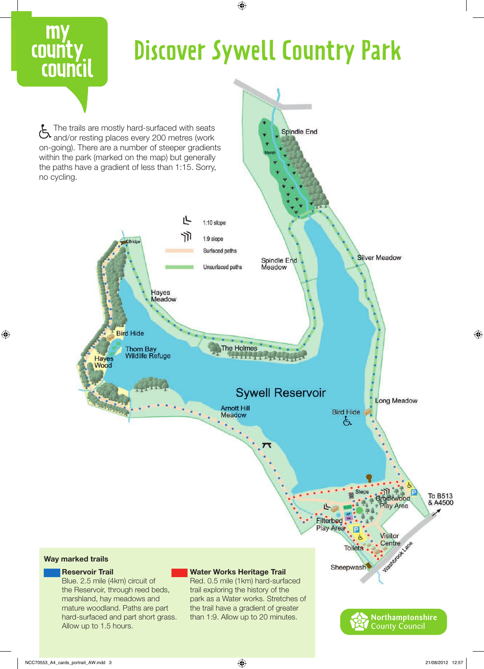

NCC70553\_A4\_cards\_portrait\_AW.indd 3 21/08/2012 12:57